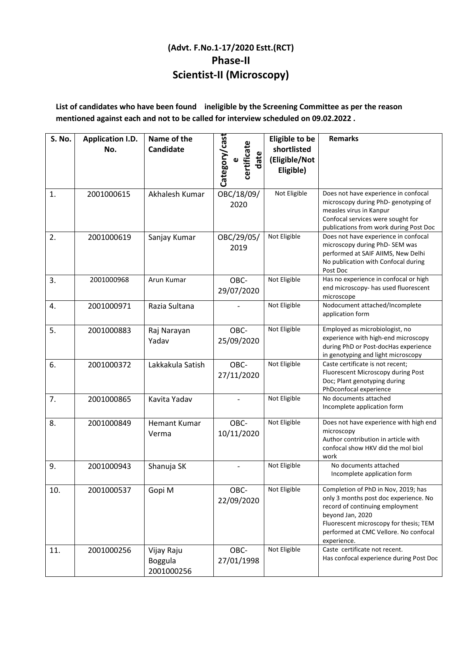## **(Advt. F.No.1-17/2020 Estt.(RCT) Phase-II Scientist-II (Microscopy)**

**List of candidates who have been found ineligible by the Screening Committee as per the reason mentioned against each and not to be called for interview scheduled on 09.02.2022 .** 

| S. No. | <b>Application I.D.</b><br>No. | Name of the<br>Candidate            | Category/cast<br>certificate<br>date | <b>Eligible to be</b><br>shortlisted<br>(Eligible/Not<br>Eligible) | <b>Remarks</b>                                                                                                                                                                                                                        |
|--------|--------------------------------|-------------------------------------|--------------------------------------|--------------------------------------------------------------------|---------------------------------------------------------------------------------------------------------------------------------------------------------------------------------------------------------------------------------------|
| 1.     | 2001000615                     | Akhalesh Kumar                      | OBC/18/09/<br>2020                   | Not Eligible                                                       | Does not have experience in confocal<br>microscopy during PhD- genotyping of<br>measles virus in Kanpur<br>Confocal services were sought for<br>publications from work during Post Doc                                                |
| 2.     | 2001000619                     | Sanjay Kumar                        | OBC/29/05/<br>2019                   | Not Eligible                                                       | Does not have experience in confocal<br>microscopy during PhD-SEM was<br>performed at SAIF AIIMS, New Delhi<br>No publication with Confocal during<br>Post Doc                                                                        |
| 3.     | 2001000968                     | Arun Kumar                          | OBC-<br>29/07/2020                   | Not Eligible                                                       | Has no experience in confocal or high<br>end microscopy- has used fluorescent<br>microscope                                                                                                                                           |
| 4.     | 2001000971                     | Razia Sultana                       |                                      | Not Eligible                                                       | Nodocument attached/Incomplete<br>application form                                                                                                                                                                                    |
| 5.     | 2001000883                     | Raj Narayan<br>Yadav                | OBC-<br>25/09/2020                   | Not Eligible                                                       | Employed as microbiologist, no<br>experience with high-end microscopy<br>during PhD or Post-docHas experience<br>in genotyping and light microscopy                                                                                   |
| 6.     | 2001000372                     | Lakkakula Satish                    | OBC-<br>27/11/2020                   | Not Eligible                                                       | Caste certificate is not recent;<br>Fluorescent Microscopy during Post<br>Doc; Plant genotyping during<br>PhDconfocal experience                                                                                                      |
| 7.     | 2001000865                     | Kavita Yadav                        |                                      | Not Eligible                                                       | No documents attached<br>Incomplete application form                                                                                                                                                                                  |
| 8.     | 2001000849                     | <b>Hemant Kumar</b><br>Verma        | OBC-<br>10/11/2020                   | Not Eligible                                                       | Does not have experience with high end<br>microscopy<br>Author contribution in article with<br>confocal show HKV did the mol biol<br>work                                                                                             |
| 9.     | 2001000943                     | Shanuja SK                          |                                      | Not Eligible                                                       | No documents attached<br>Incomplete application form                                                                                                                                                                                  |
| 10.    | 2001000537                     | Gopi M                              | OBC-<br>22/09/2020                   | Not Eligible                                                       | Completion of PhD in Nov, 2019; has<br>only 3 months post doc experience. No<br>record of continuing employment<br>beyond Jan, 2020<br>Fluorescent microscopy for thesis; TEM<br>performed at CMC Vellore. No confocal<br>experience. |
| 11.    | 2001000256                     | Vijay Raju<br>Boggula<br>2001000256 | OBC-<br>27/01/1998                   | Not Eligible                                                       | Caste certificate not recent.<br>Has confocal experience during Post Doc                                                                                                                                                              |